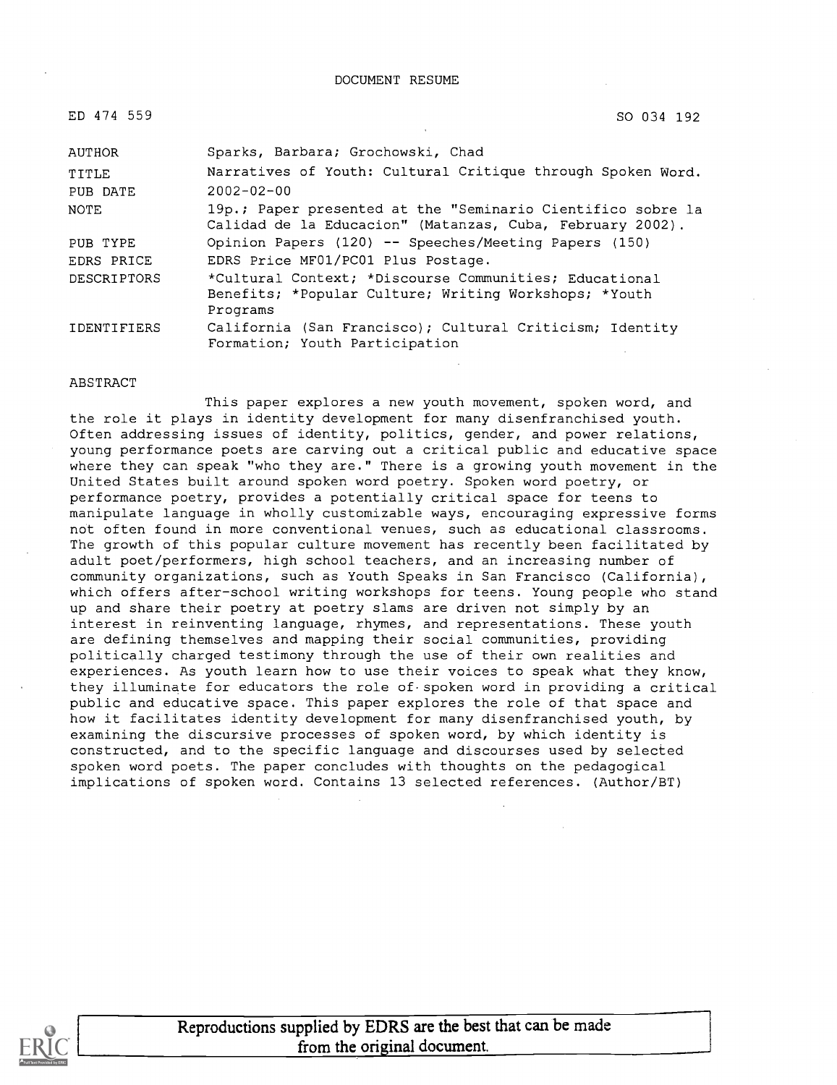| ED 474 559         | SO 034 192                                                                                                                  |
|--------------------|-----------------------------------------------------------------------------------------------------------------------------|
| <b>AUTHOR</b>      | Sparks, Barbara; Grochowski, Chad                                                                                           |
| TITLE              | Narratives of Youth: Cultural Critique through Spoken Word.                                                                 |
| PUB DATE           | $2002 - 02 - 00$                                                                                                            |
| NOTE               | 19p.; Paper presented at the "Seminario Cientifico sobre la<br>Calidad de la Educacion" (Matanzas, Cuba, February 2002).    |
| PUB TYPE           | Opinion Papers (120) -- Speeches/Meeting Papers (150)                                                                       |
| EDRS PRICE         | EDRS Price MF01/PC01 Plus Postage.                                                                                          |
| <b>DESCRIPTORS</b> | *Cultural Context; *Discourse Communities; Educational<br>Benefits; *Popular Culture; Writing Workshops; *Youth<br>Programs |
| <b>IDENTIFIERS</b> | California (San Francisco); Cultural Criticism; Identity<br>Formation; Youth Participation                                  |

#### ABSTRACT

This paper explores a new youth movement, spoken word, and the role it plays in identity development for many disenfranchised youth. Often addressing issues of identity, politics, gender, and power relations, young performance poets are carving out a critical public and educative space where they can speak "who they are." There is a growing youth movement in the United States built around spoken word poetry. Spoken word poetry, or performance poetry, provides a potentially critical space for teens to manipulate language in wholly customizable ways, encouraging expressive forms not often found in more conventional venues, such as educational classrooms. The growth of this popular culture movement has recently been facilitated by adult poet/performers, high school teachers, and an increasing number of community organizations, such as Youth Speaks in San Francisco (California), which offers after-school writing workshops for teens. Young people who stand up and share their poetry at poetry slams are driven not simply by an interest in reinventing language, rhymes, and representations. These youth are defining themselves and mapping their social communities, providing politically charged testimony through the use of their own realities and experiences. As youth learn how to use their voices to speak what they know, they illuminate for educators the role of spoken word in providing a critical public and educative space. This paper explores the role of that space and how it facilitates identity development for many disenfranchised youth, by examining the discursive processes of spoken word, by which identity is constructed, and to the specific language and discourses used by selected spoken word poets. The paper concludes with thoughts on the pedagogical implications of spoken word. Contains 13 selected references. (Author/BT)

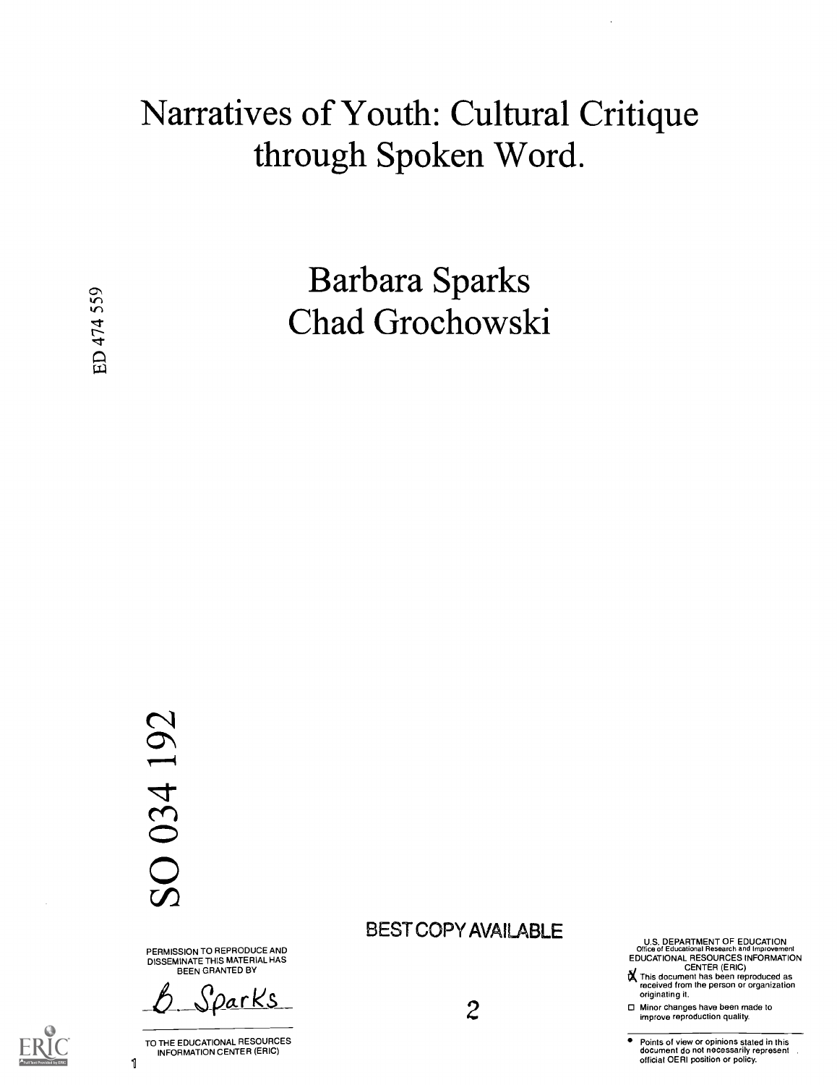# Narratives of Youth: Cultural Critique through Spoken Word.

Barbara Sparks Chad Grochowski

# SO 034 192

1

PERMISSION TO REPRODUCE AND DISSEMINATE THIS MATERIAL HAS BEEN GRANTED BY

<u>DarKs</u>

TO THE EDUCATIONAL RESOURCES INFORMATION CENTER (ERIC)

## BEST COPY AVAILABLE

2

U.S. DEPARTMENT OF EDUCATION<br>Office of Educational Research and Improvement<br>EDUCATIONAL RESOURCES INFORMATION<br>Let CENTER (ERIC)

IX This document has been reproduced as received from the person or organization originating it.

□ Minor changes have been made to improve reproduction quality.

Points of view or opinions stated in this document do not necessarily represent official OERI position or policy.

ED 474 559

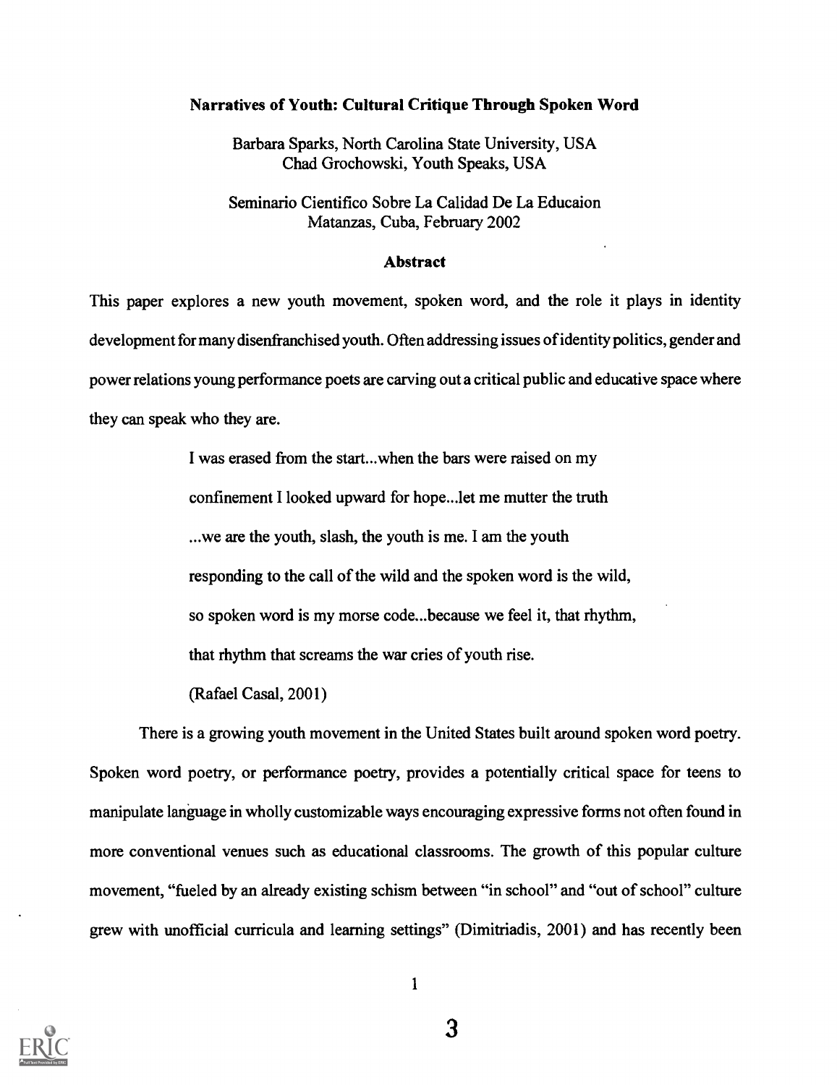#### Narratives of Youth: Cultural Critique Through Spoken Word

Barbara Sparks, North Carolina State University, USA Chad Grochowski, Youth Speaks, USA

Seminario Cientifico Sobre La Calidad De La Educaion Matanzas, Cuba, February 2002

#### Abstract

This paper explores a new youth movement, spoken word, and the role it plays in identity development for many disenfranchised youth. Often addressing issues of identity politics, gender and power relations young performance poets are carving out a critical public and educative space where they can speak who they are.

> I was erased from the start...when the bars were raised on my confinement I looked upward for hope...let me mutter the truth ...we are the youth, slash, the youth is me. I am the youth responding to the call of the wild and the spoken word is the wild, so spoken word is my morse code...because we feel it, that rhythm, that rhythm that screams the war cries of youth rise.

(Rafael Casal, 2001)

There is a growing youth movement in the United States built around spoken word poetry. Spoken word poetry, or performance poetry, provides a potentially critical space for teens to manipulate language in wholly customizable ways encouraging expressive forms not often found in more conventional venues such as educational classrooms. The growth of this popular culture movement, "fueled by an already existing schism between "in school" and "out of school" culture grew with unofficial curricula and learning settings" (Dimitriadis, 2001) and has recently been

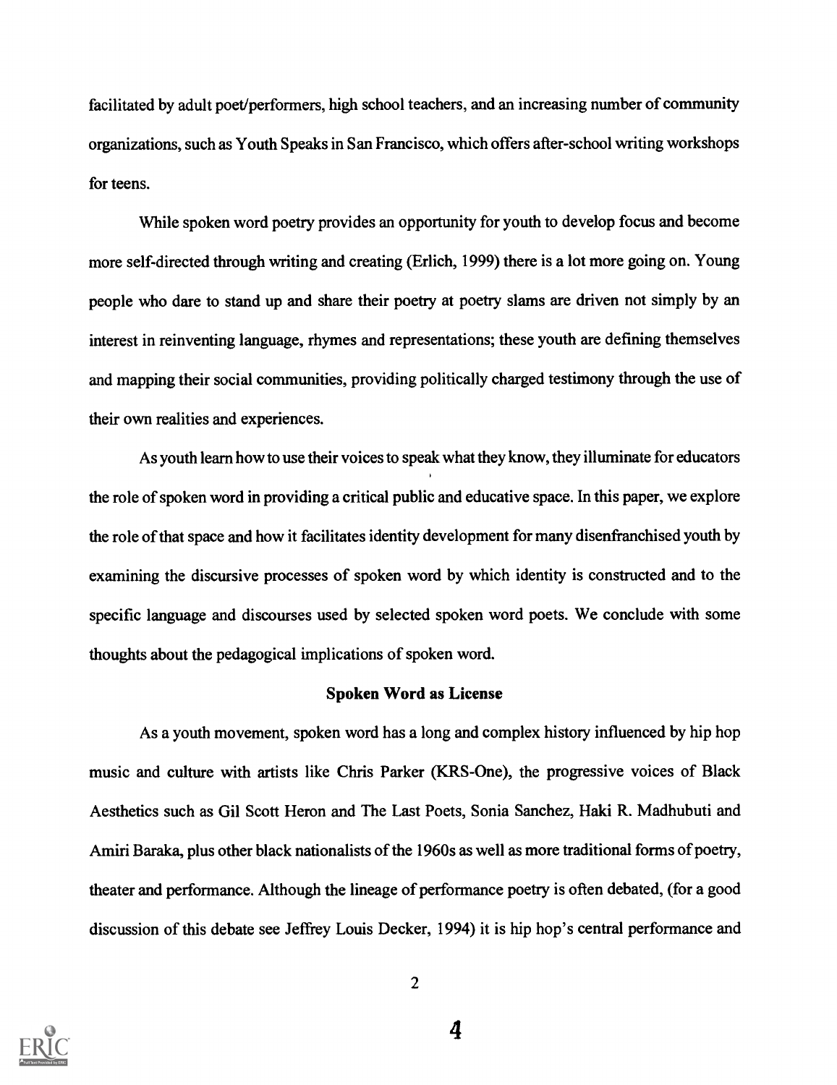facilitated by adult poet/performers, high school teachers, and an increasing number of community organizations, such as Youth Speaks in San Francisco, which offers after-school writing workshops for teens.

While spoken word poetry provides an opportunity for youth to develop focus and become more self-directed through writing and creating (Erlich, 1999) there is a lot more going on. Young people who dare to stand up and share their poetry at poetry slams are driven not simply by an interest in reinventing language, rhymes and representations; these youth are defining themselves and mapping their social communities, providing politically charged testimony through the use of their own realities and experiences.

As youth learn how to use their voices to speak what they know, they illuminate for educators the role of spoken word in providing a critical public and educative space. In this paper, we explore the role of that space and how it facilitates identity development for many disenfranchised youth by examining the discursive processes of spoken word by which identity is constructed and to the specific language and discourses used by selected spoken word poets. We conclude with some thoughts about the pedagogical implications of spoken word.

#### Spoken Word as License

As a youth movement, spoken word has a long and complex history influenced by hip hop music and culture with artists like Chris Parker (KRS-One), the progressive voices of Black Aesthetics such as Gil Scott Heron and The Last Poets, Sonia Sanchez, Haki R. Madhubuti and Amiri Baraka, plus other black nationalists of the 1960s as well as more traditional forms of poetry, theater and performance. Although the lineage of performance poetry is often debated, (for a good discussion of this debate see Jeffrey Louis Decker, 1994) it is hip hop's central performance and



 $\overline{4}$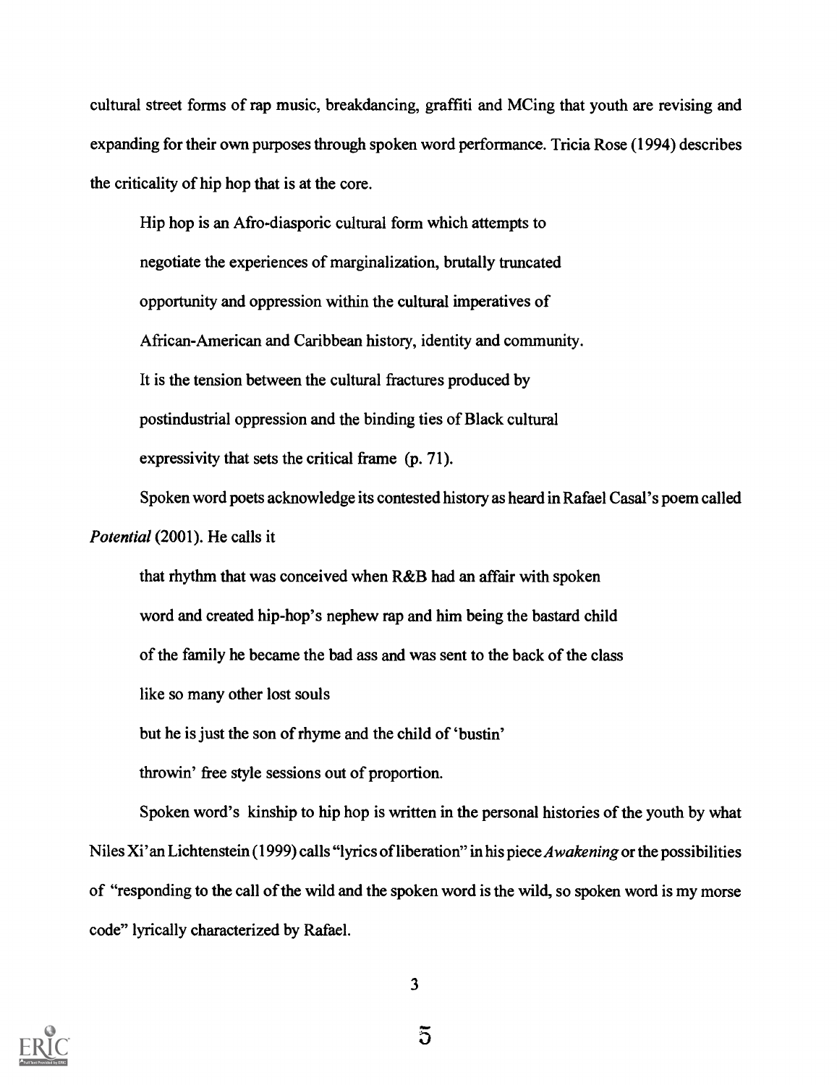cultural street forms of rap music, breakdancing, graffiti and MCing that youth are revising and expanding for their own purposes through spoken word performance. Tricia Rose (1994) describes the criticality of hip hop that is at the core.

Hip hop is an Afro-diasporic cultural form which attempts to negotiate the experiences of marginalization, brutally truncated opportunity and oppression within the cultural imperatives of African-American and Caribbean history, identity and community. It is the tension between the cultural fractures produced by postindustrial oppression and the binding ties of Black cultural expressivity that sets the critical frame (p. 71).

Spoken word poets acknowledge its contested history as heard in Rafael Casal's poem called Potential (2001). He calls it

that rhythm that was conceived when R&B had an affair with spoken word and created hip-hop's nephew rap and him being the bastard child of the family he became the bad ass and was sent to the back of the class like so many other lost souls but he is just the son of rhyme and the child of `bustin'

throwin' free style sessions out of proportion.

Spoken word's kinship to hip hop is written in the personal histories of the youth by what Niles Xi' an Lichtenstein (1999) calls "lyrics of liberation" in his piece Awakening or the possibilities of "responding to the call of the wild and the spoken word is the wild, so spoken word is my morse code" lyrically characterized by Rafael.



 $\overline{5}$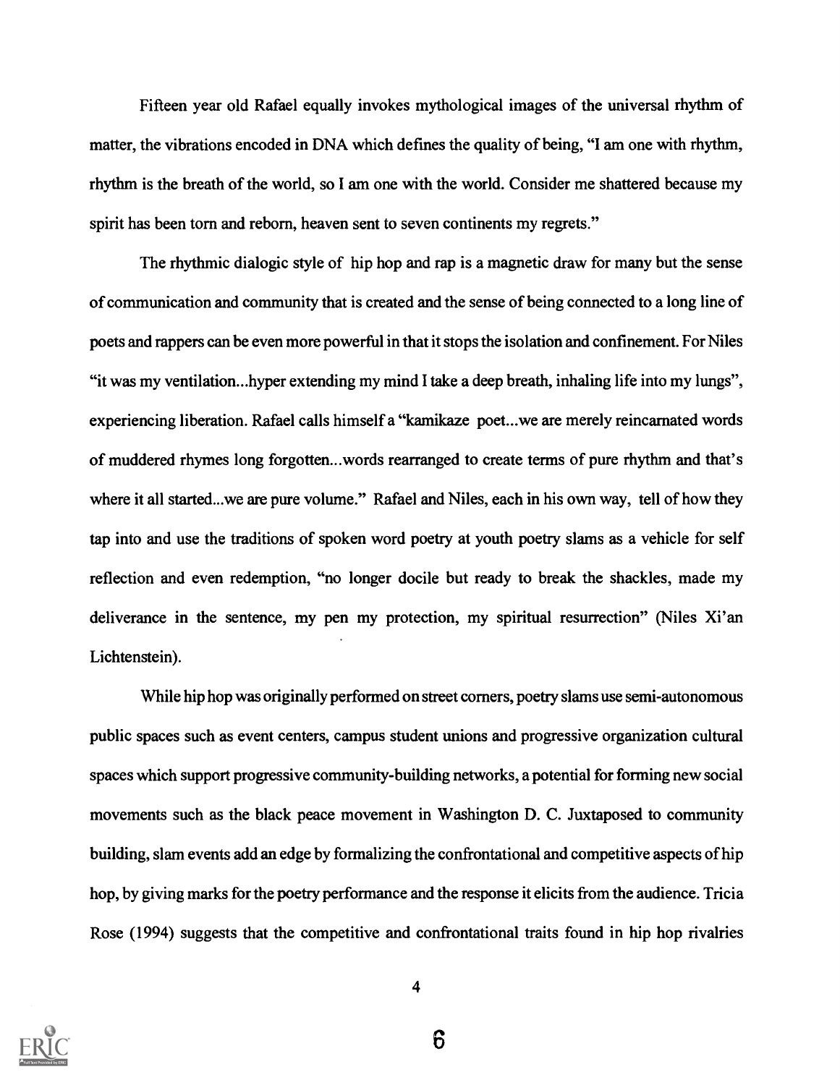Fifteen year old Rafael equally invokes mythological images of the universal rhythm of matter, the vibrations encoded in DNA which defines the quality of being, "I am one with rhythm, rhythm is the breath of the world, so I am one with the world. Consider me shattered because my spirit has been torn and reborn, heaven sent to seven continents my regrets."

The rhythmic dialogic style of hip hop and rap is a magnetic draw for many but the sense of communication and community that is created and the sense of being connected to a long line of poets and rappers can be even more powerful in that it stops the isolation and confinement. For Niles "it was my ventilation...hyper extending my mind I take a deep breath, inhaling life into my lungs", experiencing liberation. Rafael calls himself a "kamikaze poet...we are merely reincarnated words of muddered rhymes long forgotten...words rearranged to create terms of pure rhythm and that's where it all started...we are pure volume." Rafael and Niles, each in his own way, tell of how they tap into and use the traditions of spoken word poetry at youth poetry slams as a vehicle for self reflection and even redemption, "no longer docile but ready to break the shackles, made my deliverance in the sentence, my pen my protection, my spiritual resurrection" (Niles Xi'an Lichtenstein).

While hip hop was originally performed on street corners, poetry slams use semi-autonomous public spaces such as event centers, campus student unions and progressive organization cultural spaces which support progressive community-building networks, a potential for forming new social movements such as the black peace movement in Washington D. C. Juxtaposed to community building, slam events add an edge by formalizing the confrontational and competitive aspects of hip hop, by giving marks for the poetry performance and the response it elicits from the audience. Tricia Rose (1994) suggests that the competitive and confrontational traits found in hip hop rivalries

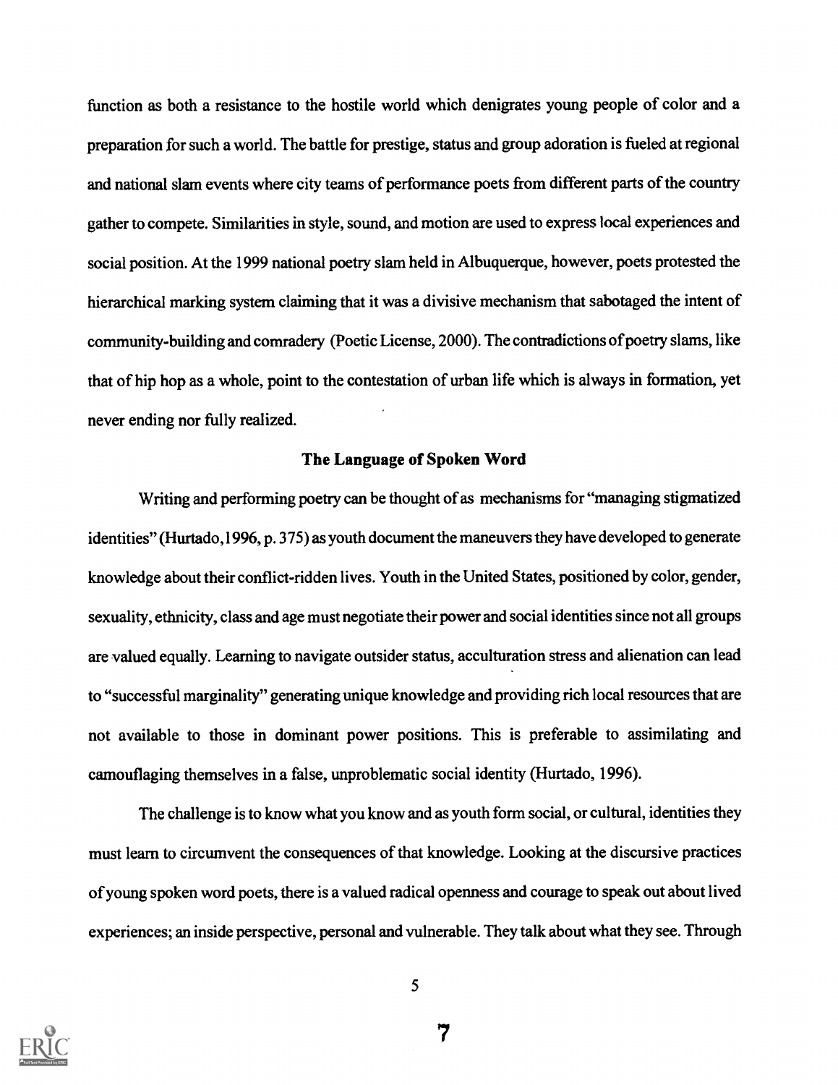function as both a resistance to the hostile world which denigrates young people of color and a preparation for such a world. The battle for prestige, status and group adoration is fueled at regional and national slam events where city teams of performance poets from different parts of the country gather to compete. Similarities in style, sound, and motion are used to express local experiences and social position. At the 1999 national poetry slam held in Albuquerque, however, poets protested the hierarchical marking system claiming that it was a divisive mechanism that sabotaged the intent of community-building and comradery (Poetic License, 2000). The contradictions of poetry slams, like that of hip hop as a whole, point to the contestation of urban life which is always in formation, yet never ending nor fully realized.

#### The Language of Spoken Word

Writing and performing poetry can be thought of as mechanisms for "managing stigmatized identities" (Hurtado,1996, p. 375) as youth document the maneuvers they have developed to generate knowledge about their conflict-ridden lives. Youth in the United States, positioned by color, gender, sexuality, ethnicity, class and age must negotiate their power and social identities since not all groups are valued equally. Learning to navigate outsider status, acculturation stress and alienation can lead to "successful marginality" generating unique knowledge and providing rich local resources that are not available to those in dominant power positions. This is preferable to assimilating and camouflaging themselves in a false, unproblematic social identity (Hurtado, 1996).

The challenge is to know what you know and as youth form social, or cultural, identities they must learn to circumvent the consequences of that knowledge. Looking at the discursive practices of young spoken word poets, there is a valued radical openness and courage to speak out about lived experiences; an inside perspective, personal and vulnerable. They talk about what they see. Through

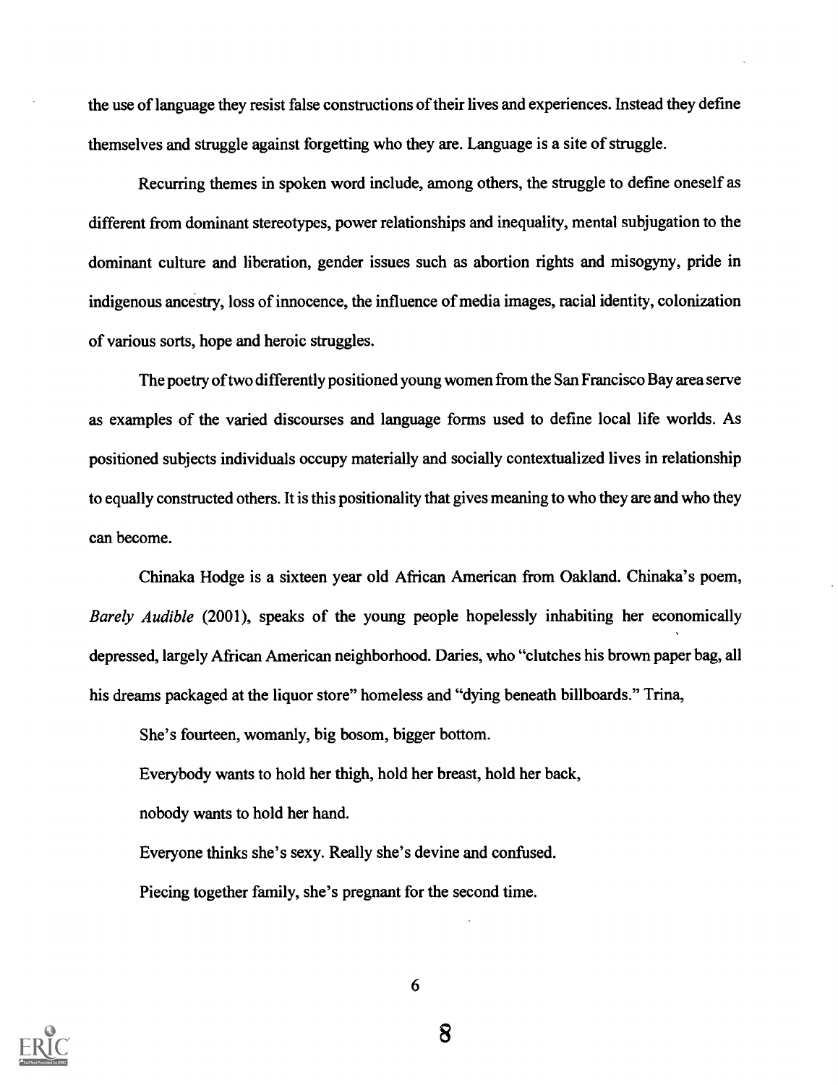the use of language they resist false constructions of their lives and experiences. Instead they define themselves and struggle against forgetting who they are. Language is a site of struggle.

Recurring themes in spoken word include, among others, the struggle to define oneself as different from dominant stereotypes, power relationships and inequality, mental subjugation to the dominant culture and liberation, gender issues such as abortion rights and misogyny, pride in indigenous ancestry, loss of innocence, the influence of media images, racial identity, colonization of various sorts, hope and heroic struggles.

The poetry of two differently positioned young women from the San Francisco Bay area serve as examples of the varied discourses and language forms used to define local life worlds. As positioned subjects individuals occupy materially and socially contextualized lives in relationship to equally constructed others. It is this positionality that gives meaning to who they are and who they can become.

Chinaka Hodge is a sixteen year old African American from Oakland. Chinaka's poem, Barely Audible (2001), speaks of the young people hopelessly inhabiting her economically depressed, largely African American neighborhood. Daries, who "clutches his brown paper bag, all his dreams packaged at the liquor store" homeless and "dying beneath billboards." Trina,

She's fourteen, womanly, big bosom, bigger bottom.

Everybody wants to hold her thigh, hold her breast, hold her back,

nobody wants to hold her hand.

Everyone thinks she's sexy. Really she's devine and confused. Piecing together family, she's pregnant for the second time.



6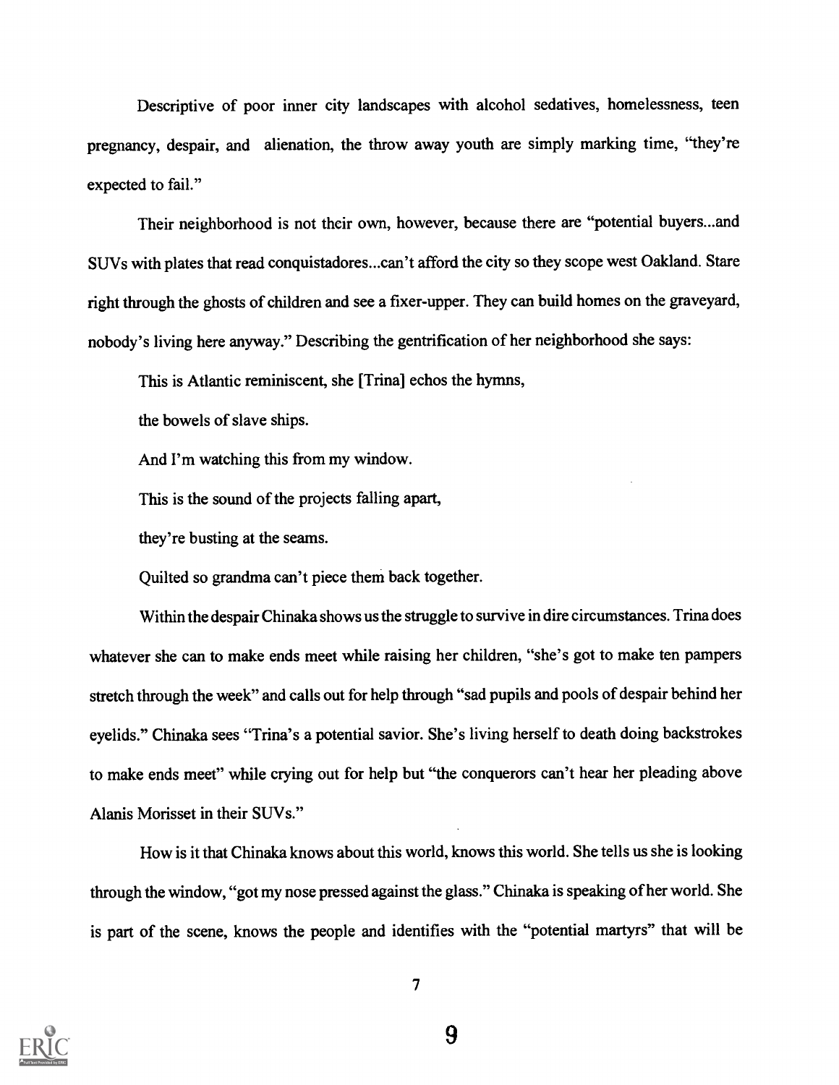Descriptive of poor inner city landscapes with alcohol sedatives, homelessness, teen pregnancy, despair, and alienation, the throw away youth are simply marking time, "they're expected to fail."

Their neighborhood is not their own, however, because there are "potential buyers...and SUVs with plates that read conquistadores...can't afford the city so they scope west Oakland. Stare right through the ghosts of children and see a fixer-upper. They can build homes on the graveyard, nobody's living here anyway." Describing the gentrification of her neighborhood she says:

This is Atlantic reminiscent, she [Trina] echos the hymns,

the bowels of slave ships.

And I'm watching this from my window.

This is the sound of the projects falling apart,

they're busting at the seams.

Quilted so grandma can't piece them back together.

Within the despair Chinaka shows us the struggle to survive in dire circumstances. Trina does whatever she can to make ends meet while raising her children, "she's got to make ten pampers stretch through the week" and calls out for help through "sad pupils and pools of despair behind her eyelids." Chinaka sees "Trina's a potential savior. She's living herself to death doing backstrokes to make ends meet" while crying out for help but "the conquerors can't hear her pleading above Alanis Morisset in their SUVs."

How is it that Chinaka knows about this world, knows this world. She tells us she is looking through the window, "got my nose pressed against the glass." Chinaka is speaking of her world. She is part of the scene, knows the people and identifies with the "potential martyrs" that will be

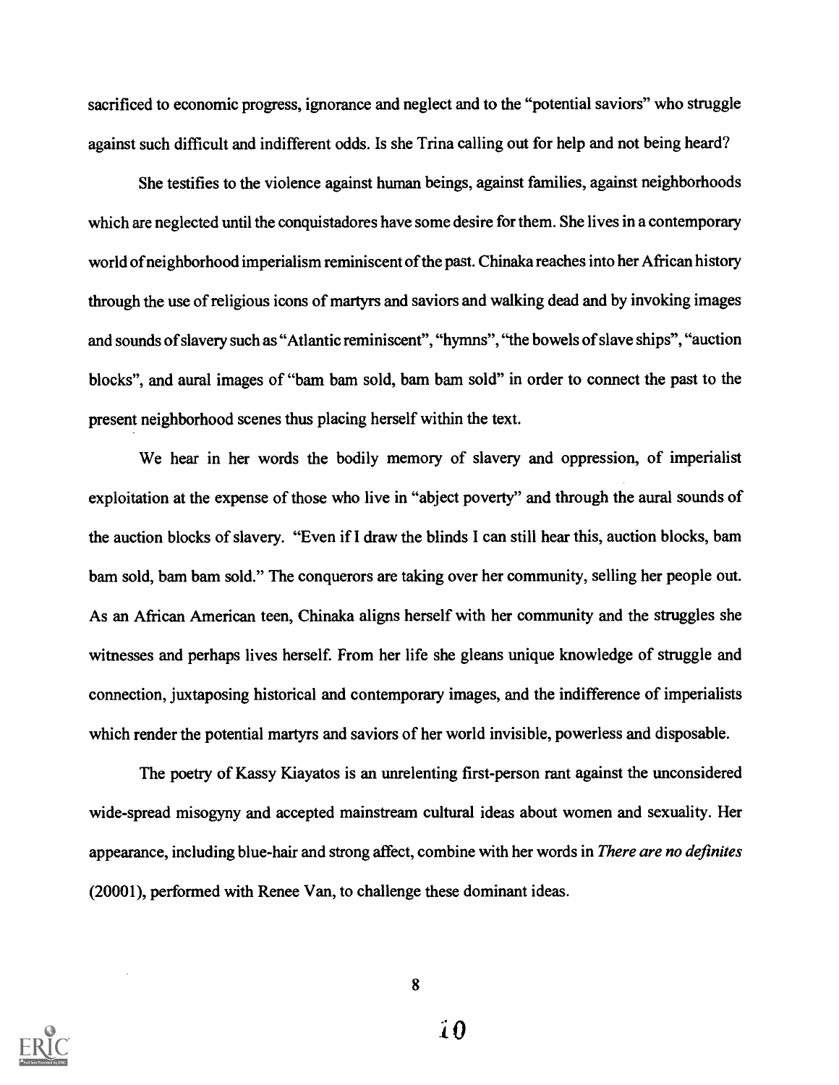sacrificed to economic progress, ignorance and neglect and to the "potential saviors" who struggle against such difficult and indifferent odds. Is she Trina calling out for help and not being heard?

She testifies to the violence against human beings, against families, against neighborhoods which are neglected until the conquistadores have some desire for them. She lives in a contemporary world of neighborhood imperialism reminiscent of the past. Chinaka reaches into her African history through the use of religious icons of martyrs and saviors and walking dead and by invoking images and sounds of slavery such as "Atlantic reminiscent", "hymns", "the bowels of slave ships", "auction blocks", and aural images of "barn barn sold, barn barn sold" in order to connect the past to the present neighborhood scenes thus placing herself within the text.

We hear in her words the bodily memory of slavery and oppression, of imperialist exploitation at the expense of those who live in "abject poverty" and through the aural sounds of the auction blocks of slavery. "Even if I draw the blinds I can still hear this, auction blocks, bam bam sold, bam bam sold." The conquerors are taking over her community, selling her people out. As an African American teen, Chinaka aligns herself with her community and the struggles she witnesses and perhaps lives herself. From her life she gleans unique knowledge of struggle and connection, juxtaposing historical and contemporary images, and the indifference of imperialists which render the potential martyrs and saviors of her world invisible, powerless and disposable.

The poetry of Kassy Kiayatos is an unrelenting first-person rant against the unconsidered wide-spread misogyny and accepted mainstream cultural ideas about women and sexuality. Her appearance, including blue-hair and strong affect, combine with her words in There are no definites (20001), performed with Renee Van, to challenge these dominant ideas.

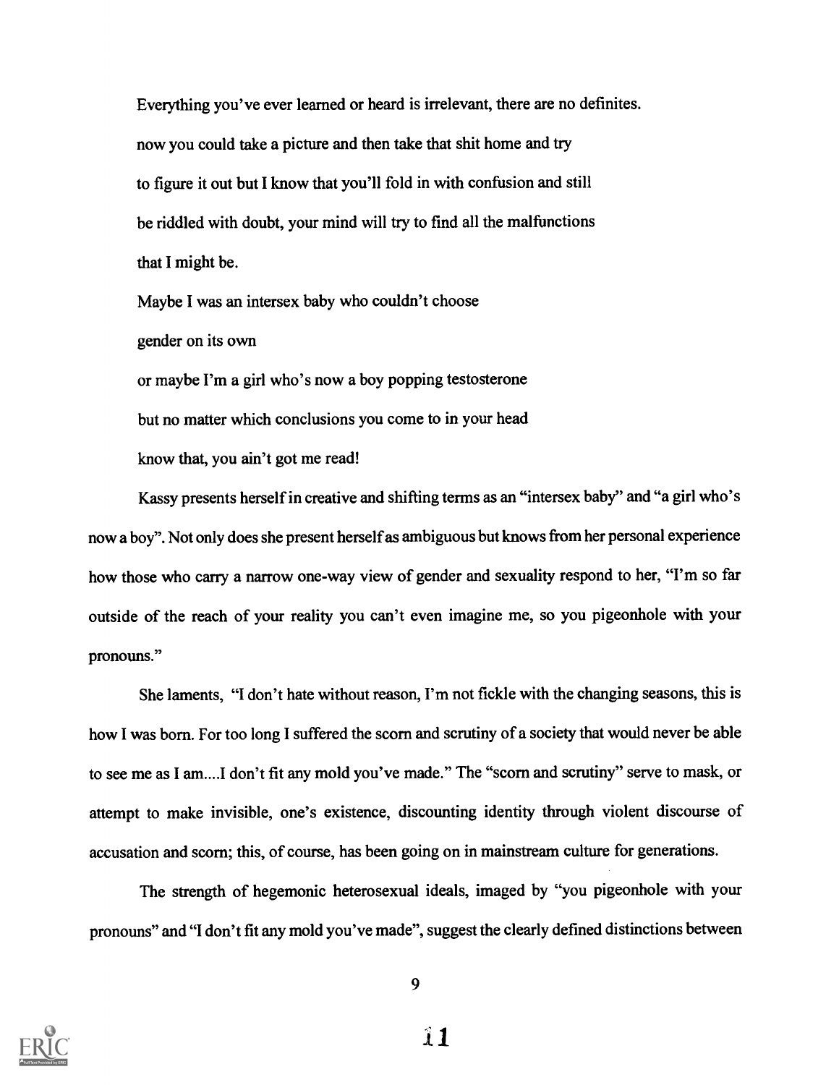Everything you've ever learned or heard is irrelevant, there are no definites. now you could take a picture and then take that shit home and try to figure it out but I know that you'll fold in with confusion and still be riddled with doubt, your mind will try to find all the malfunctions that I might be.

Maybe I was an intersex baby who couldn't choose gender on its own or maybe I'm a girl who's now a boy popping testosterone but no matter which conclusions you come to in your head

know that, you ain't got me read!

Kassy presents herself in creative and shifting terms as an "intersex baby" and "a girl who's now a boy". Not only does she present herself as ambiguous but knows from her personal experience how those who carry a narrow one-way view of gender and sexuality respond to her, "I'm so far outside of the reach of your reality you can't even imagine me, so you pigeonhole with your pronouns."

She laments, "I don't hate without reason, I'm not fickle with the changing seasons, this is how I was born. For too long I suffered the scorn and scrutiny of a society that would never be able to see me as I am....I don't fit any mold you've made." The "scorn and scrutiny" serve to mask, or attempt to make invisible, one's existence, discounting identity through violent discourse of accusation and scorn; this, of course, has been going on in mainstream culture for generations.

The strength of hegemonic heterosexual ideals, imaged by "you pigeonhole with your pronouns" and "I don't fit any mold you've made", suggest the clearly defined distinctions between



 $\hat{\mathbf{I}}$  1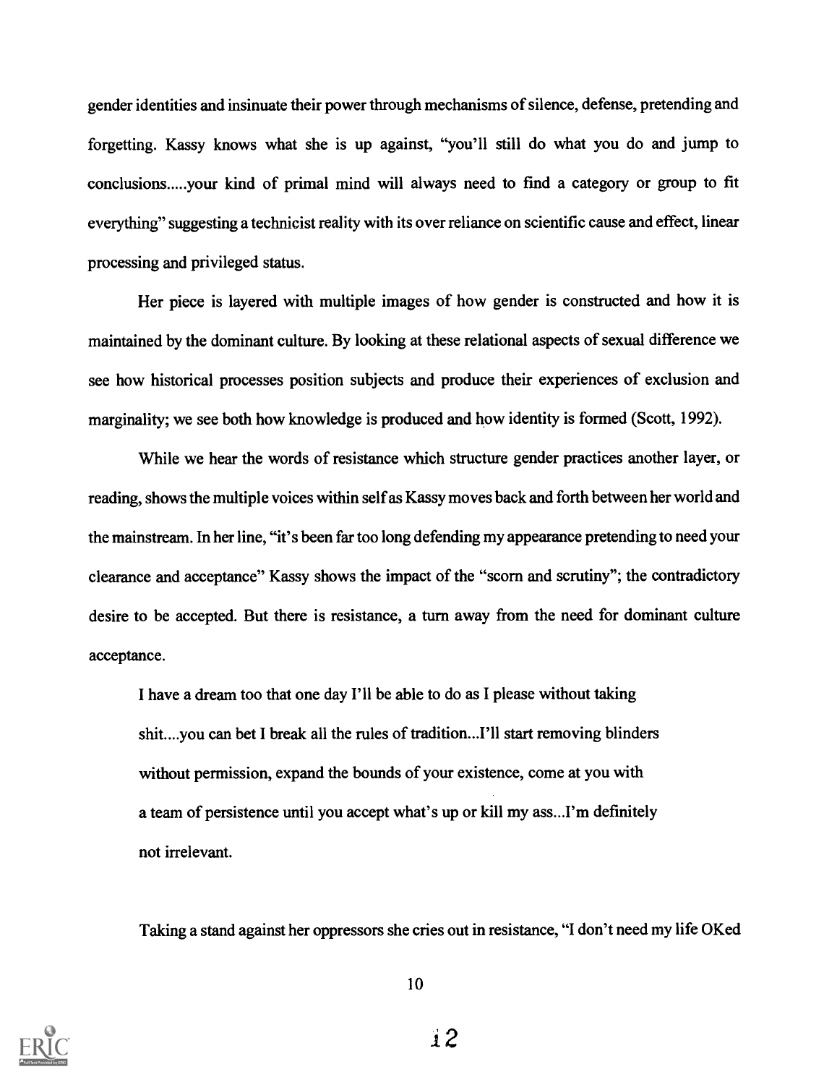gender identities and insinuate their power through mechanisms of silence, defense, pretending and forgetting. Kassy knows what she is up against, "you'll still do what you do and jump to conclusions.....your kind of primal mind will always need to find a category or group to fit everything" suggesting a technicist reality with its over reliance on scientific cause and effect, linear processing and privileged status.

Her piece is layered with multiple images of how gender is constructed and how it is maintained by the dominant culture. By looking at these relational aspects of sexual difference we see how historical processes position subjects and produce their experiences of exclusion and marginality; we see both how knowledge is produced and how identity is formed (Scott, 1992).

While we hear the words of resistance which structure gender practices another layer, or reading, shows the multiple voices within self as Kassy moves back and forth between her world and the mainstream. In her line, "it's been far too long defending my appearance pretending to need your clearance and acceptance" Kassy shows the impact of the "scorn and scrutiny"; the contradictory desire to be accepted. But there is resistance, a turn away from the need for dominant culture acceptance.

I have a dream too that one day I'll be able to do as I please without taking shit....you can bet I break all the rules of tradition...I'll start removing blinders without permission, expand the bounds of your existence, come at you with a team of persistence until you accept what's up or kill my ass...I'm definitely not irrelevant.

Taking a stand against her oppressors she cries out in resistance, "I don't need my life OKed



10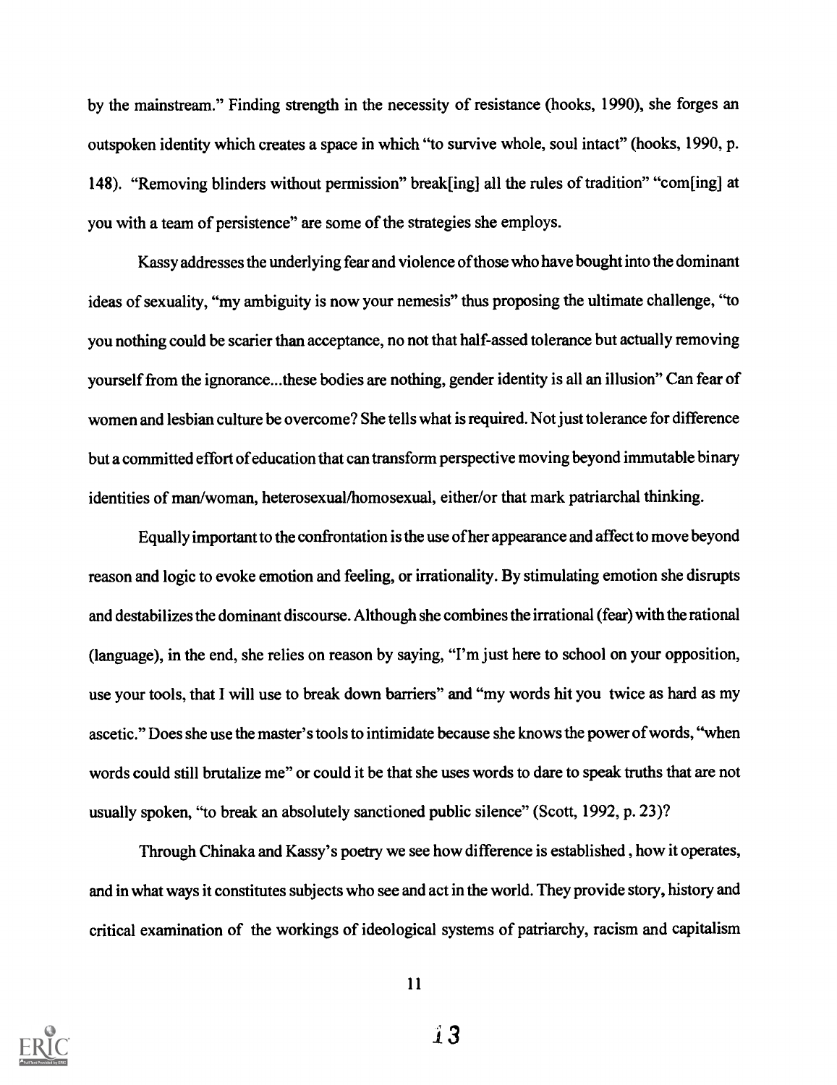by the mainstream." Finding strength in the necessity of resistance (hooks, 1990), she forges an outspoken identity which creates a space in which "to survive whole, soul intact" (hooks, 1990, p. 148). "Removing blinders without permission" break[ing] all the rules of tradition" "com[ing] at you with a team of persistence" are some of the strategies she employs.

Kassy addresses the underlying fear and violence of those who have bought into the dominant ideas of sexuality, "my ambiguity is now your nemesis" thus proposing the ultimate challenge, "to you nothing could be scarier than acceptance, no not that half-assed tolerance but actually removing yourself from the ignorance...these bodies are nothing, gender identity is all an illusion" Can fear of women and lesbian culture be overcome? She tells what is required. Not just tolerance for difference but a committed effort of education that can transform perspective moving beyond immutable binary identities of man/woman, heterosexual/homosexual, either/or that mark patriarchal thinking.

Equally important to the confrontation is the use of her appearance and affect to move beyond reason and logic to evoke emotion and feeling, or irrationality. By stimulating emotion she disrupts and destabilizes the dominant discourse. Although she combines the irrational (fear) with the rational (language), in the end, she relies on reason by saying, "I'm just here to school on your opposition, use your tools, that I will use to break down barriers" and "my words hit you twice as hard as my ascetic." Does she use the master's tools to intimidate because she knows the power of words, "when words could still brutalize me" or could it be that she uses words to dare to speak truths that are not usually spoken, "to break an absolutely sanctioned public silence" (Scott, 1992, p. 23)?

Through Chinaka and Kassy' s poetry we see how difference is established , how it operates, and in what ways it constitutes subjects who see and act in the world. They provide story, history and critical examination of the workings of ideological systems of patriarchy, racism and capitalism

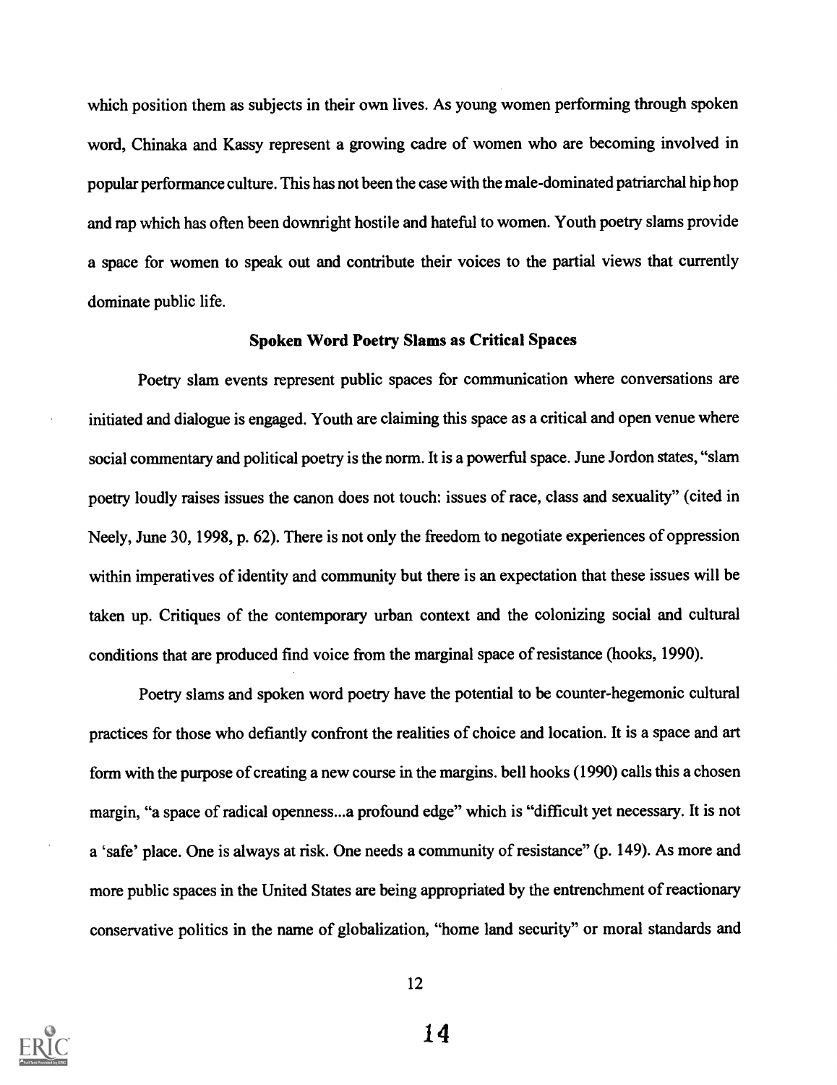which position them as subjects in their own lives. As young women performing through spoken word, Chinaka and Kassy represent a growing cadre of women who are becoming involved in popular performance culture. This has not been the case with the male-dominated patriarchal hip hop and rap which has often been downright hostile and hateful to women. Youth poetry slams provide a space for women to speak out and contribute their voices to the partial views that currently dominate public life.

#### Spoken Word Poetry Slams as Critical Spaces

Poetry slam events represent public spaces for communication where conversations are initiated and dialogue is engaged. Youth are claiming this space as a critical and open venue where social commentary and political poetry is the norm. It is a powerful space. June Jordon states, "slam poetry loudly raises issues the canon does not touch: issues of race, class and sexuality" (cited in Neely, June 30, 1998, p. 62). There is not only the freedom to negotiate experiences of oppression within imperatives of identity and community but there is an expectation that these issues will be taken up. Critiques of the contemporary urban context and the colonizing social and cultural conditions that are produced find voice from the marginal space of resistance (hooks, 1990).

Poetry slams and spoken word poetry have the potential to be counter-hegemonic cultural practices for those who defiantly confront the realities of choice and location. It is a space and art form with the purpose of creating a new course in the margins. bell hooks (1990) calls this a chosen margin, "a space of radical openness...a profound edge" which is "difficult yet necessary. It is not a 'safe' place. One is always at risk. One needs a community of resistance" (p. 149). As more and more public spaces in the United States are being appropriated by the entrenchment of reactionary conservative politics in the name of globalization, "home land security" or moral standards and

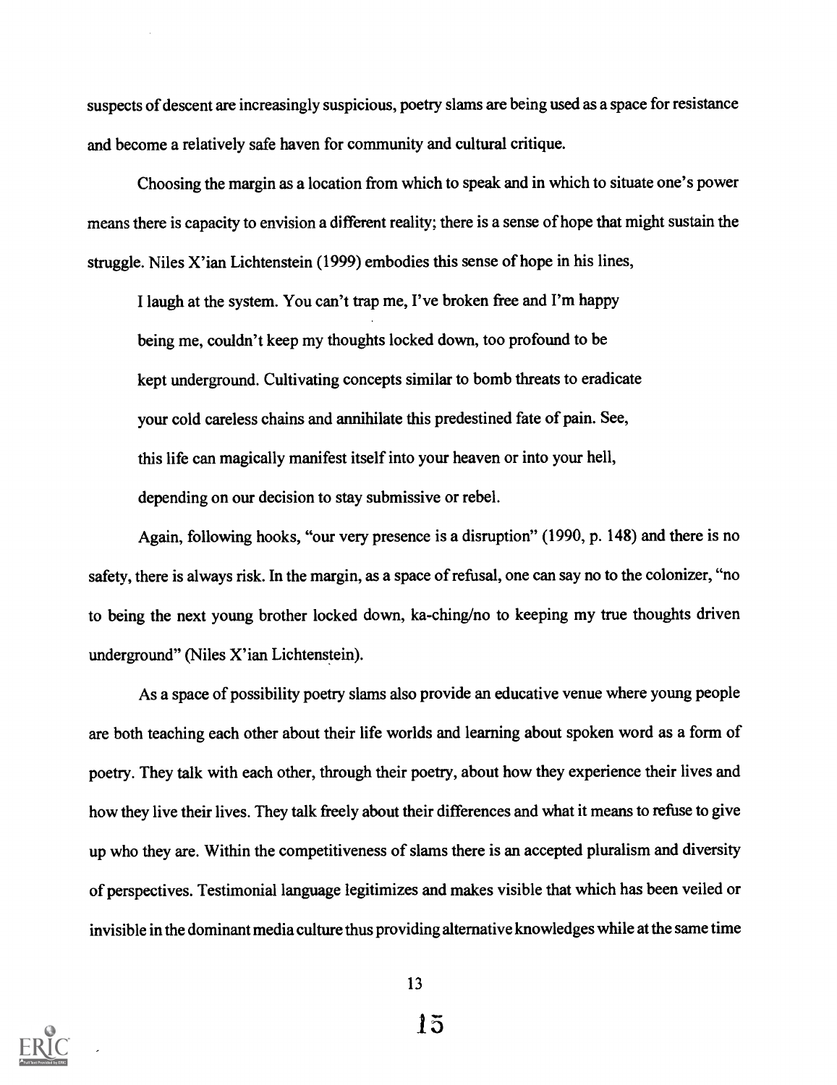suspects of descent are increasingly suspicious, poetry slams are being used as a space for resistance and become a relatively safe haven for community and cultural critique.

Choosing the margin as a location from which to speak and in which to situate one's power means there is capacity to envision a different reality; there is a sense of hope that might sustain the struggle. Niles X'ian Lichtenstein (1999) embodies this sense of hope in his lines,

I laugh at the system. You can't trap me, I've broken free and I'm happy being me, couldn't keep my thoughts locked down, too profound to be kept underground. Cultivating concepts similar to bomb threats to eradicate your cold careless chains and annihilate this predestined fate of pain. See, this life can magically manifest itself into your heaven or into your hell, depending on our decision to stay submissive or rebel.

Again, following hooks, "our very presence is a disruption" (1990, p. 148) and there is no safety, there is always risk. In the margin, as a space of refusal, one can say no to the colonizer, "no to being the next young brother locked down, ka-ching/no to keeping my true thoughts driven underground" (Niles X'ian Lichtenstein).

As a space of possibility poetry slams also provide an educative venue where young people are both teaching each other about their life worlds and learning about spoken word as a form of poetry. They talk with each other, through their poetry, about how they experience their lives and how they live their lives. They talk freely about their differences and what it means to refuse to give up who they are. Within the competitiveness of slams there is an accepted pluralism and diversity of perspectives. Testimonial language legitimizes and makes visible that which has been veiled or invisible in the dominant media culture thus providing alternative knowledges while at the same time

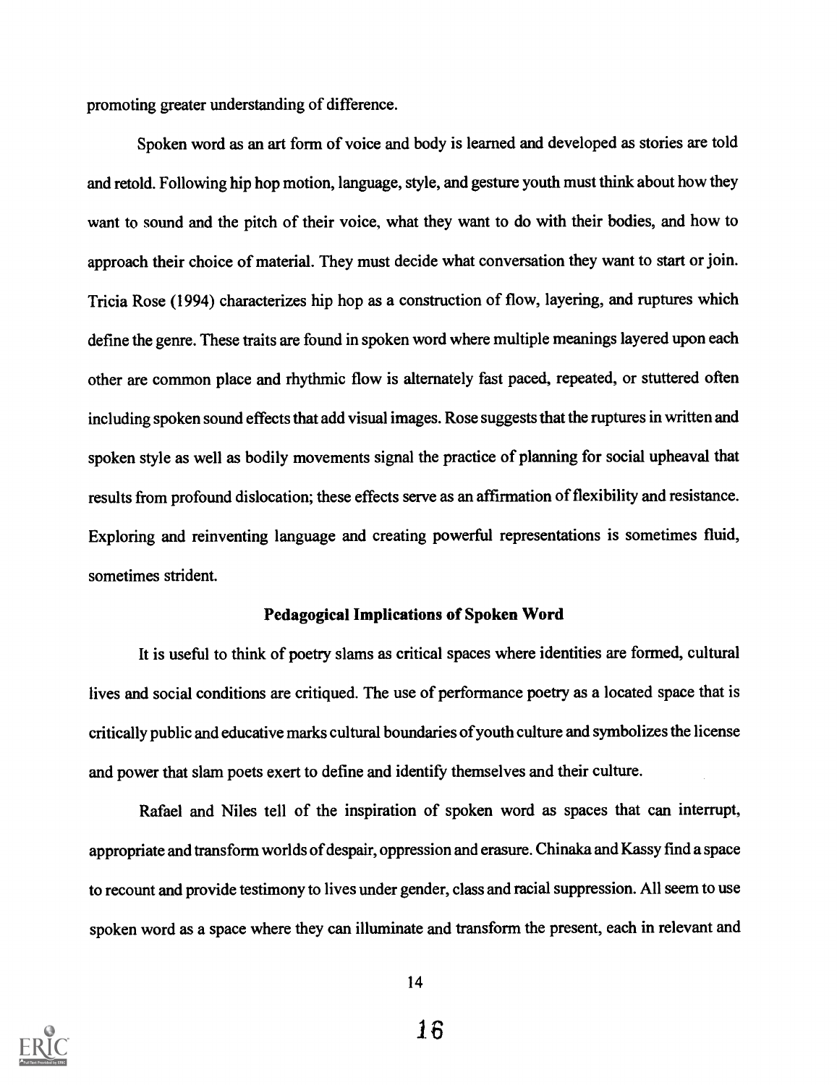promoting greater understanding of difference.

Spoken word as an art form of voice and body is learned and developed as stories are told and retold. Following hip hop motion, language, style, and gesture youth must think about how they want to sound and the pitch of their voice, what they want to do with their bodies, and how to approach their choice of material. They must decide what conversation they want to start or join. Tricia Rose (1994) characterizes hip hop as a construction of flow, layering, and ruptures which define the genre. These traits are found in spoken word where multiple meanings layered upon each other are common place and rhythmic flow is alternately fast paced, repeated, or stuttered often including spoken sound effects that add visual images. Rose suggests that the ruptures in written and spoken style as well as bodily movements signal the practice of planning for social upheaval that results from profound dislocation; these effects serve as an affirmation of flexibility and resistance. Exploring and reinventing language and creating powerful representations is sometimes fluid, sometimes strident.

#### Pedagogical Implications of Spoken Word

It is useful to think of poetry slams as critical spaces where identities are formed, cultural lives and social conditions are critiqued. The use of performance poetry as a located space that is critically public and educative marks cultural boundaries of youth culture and symbolizes the license and power that slam poets exert to define and identify themselves and their culture.

Rafael and Niles tell of the inspiration of spoken word as spaces that can interrupt, appropriate and transform worlds of despair, oppression and erasure. Chinaka and Kassy find a space to recount and provide testimony to lives under gender, class and racial suppression. All seem to use spoken word as a space where they can illuminate and transform the present, each in relevant and

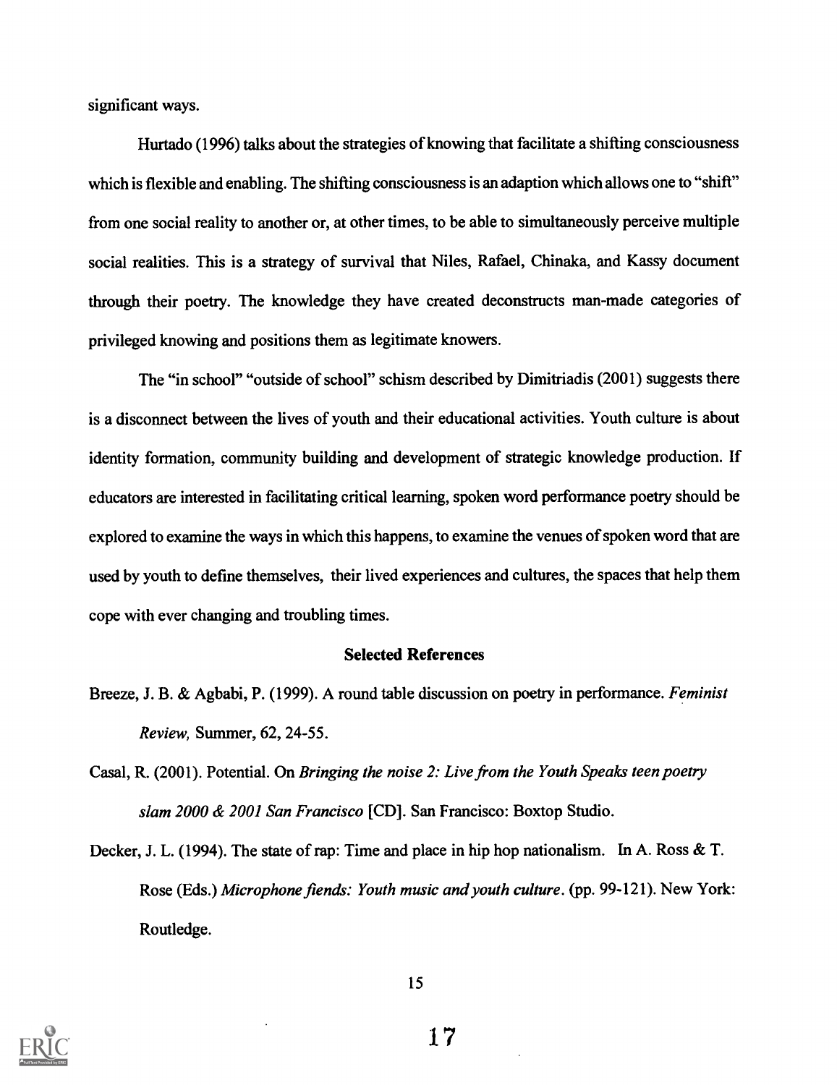significant ways.

Hurtado (1996) talks about the strategies of knowing that facilitate a shifting consciousness which is flexible and enabling. The shifting consciousness is an adaption which allows one to "shift" from one social reality to another or, at other times, to be able to simultaneously perceive multiple social realities. This is a strategy of survival that Niles, Rafael, Chinaka, and Kassy document through their poetry. The knowledge they have created deconstructs man-made categories of privileged knowing and positions them as legitimate knowers.

The "in school" "outside of school" schism described by Dimitriadis (2001) suggests there is a disconnect between the lives of youth and their educational activities. Youth culture is about identity formation, community building and development of strategic knowledge production. If educators are interested in facilitating critical learning, spoken word performance poetry should be explored to examine the ways in which this happens, to examine the venues of spoken word that are used by youth to define themselves, their lived experiences and cultures, the spaces that help them cope with ever changing and troubling times.

#### Selected References

- Breeze, J. B. & Agbabi, P. (1999). A round table discussion on poetry in performance. Feminist Review, Summer, 62, 24-55.
- Casal, R. (2001). Potential. On Bringing the noise 2: Live from the Youth Speaks teen poetry slam 2000 & 2001 San Francisco [CD]. San Francisco: Boxtop Studio.

Decker, J. L. (1994). The state of rap: Time and place in hip hop nationalism. In A. Ross & T. Rose (Eds.) Microphone fiends: Youth music and youth culture. (pp. 99-121). New York: Routledge.

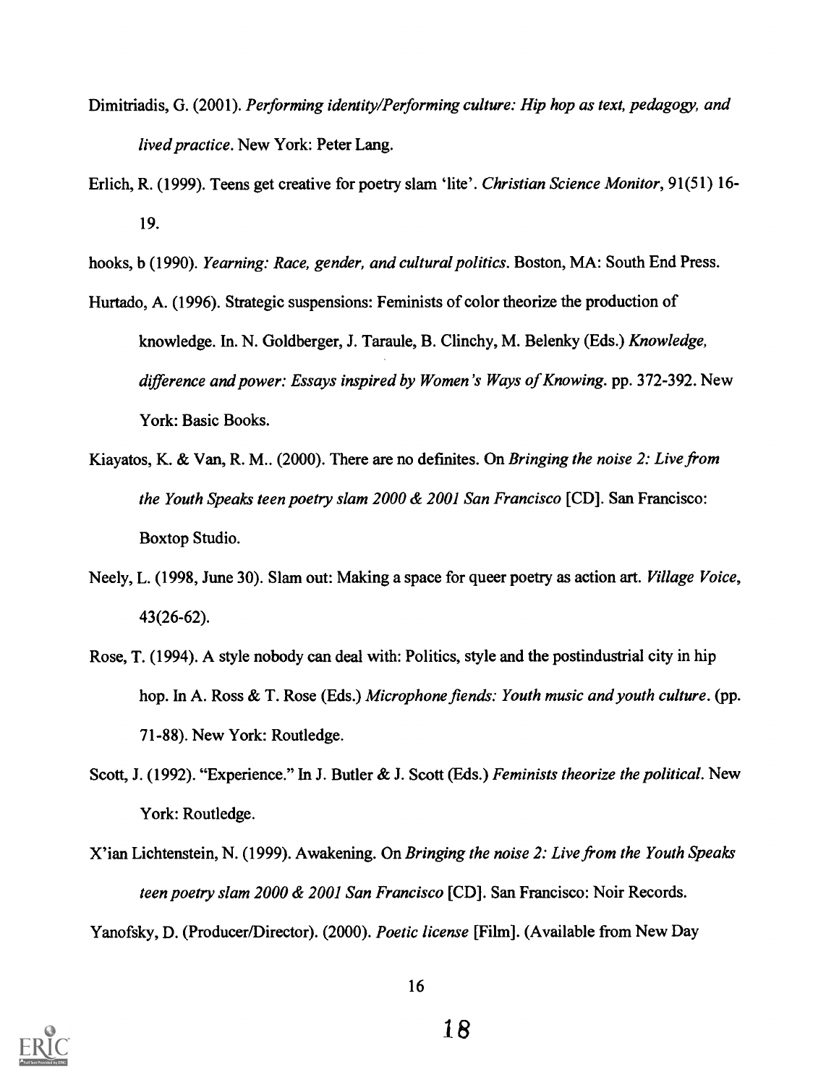- Dimitriadis, G. (2001). Performing identity/Performing culture: Hip hop as text, pedagogy, and lived practice. New York: Peter Lang.
- Erlich, R. (1999). Teens get creative for poetry slam 'lite'. Christian Science Monitor, 91(51) 16- 19.

hooks, b (1990). Yearning: Race, gender, and cultural politics. Boston, MA: South End Press.

- Hurtado, A. (1996). Strategic suspensions: Feminists of color theorize the production of knowledge. In. N. Goldberger, J. Taraule, B. Clinchy, M. Belenky (Eds.) Knowledge, difference and power: Essays inspired by Women's Ways of Knowing. pp. 372-392. New York: Basic Books.
- Kiayatos, K. & Van, R. M., (2000). There are no definites. On *Bringing the noise 2: Live from* the Youth Speaks teen poetry slam 2000 & 2001 San Francisco [CD]. San Francisco: Boxtop Studio.
- Neely, L. (1998, June 30). Slam out: Making a space for queer poetry as action art. Village Voice, 43(26-62).
- Rose, T. (1994). A style nobody can deal with: Politics, style and the postindustrial city in hip hop. In A. Ross & T. Rose (Eds.) Microphone fiends: Youth music and youth culture. (pp. 71-88). New York: Routledge.
- Scott, J. (1992). "Experience." In J. Butler & J. Scott (Eds.) Feminists theorize the political. New York: Routledge.
- X'ian Lichtenstein, N. (1999). Awakening. On Bringing the noise 2: Live from the Youth Speaks teen poetry slam 2000 & 2001 San Francisco [CD]. San Francisco: Noir Records. Yanofsky, D. (Producer/Director). (2000). Poetic license [Film]. (Available from New Day

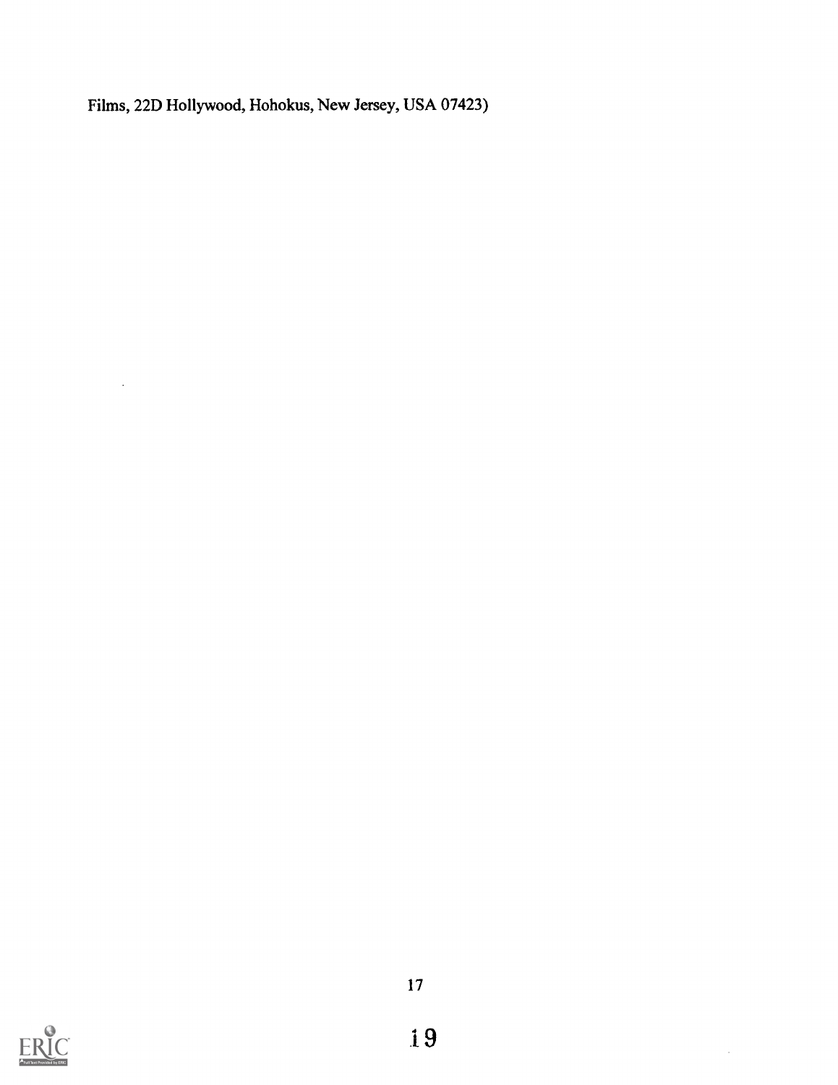Films, 22D Hollywood, Hohokus, New Jersey, USA 07423)



 $\hat{\mathcal{L}}$ 

 $\sim$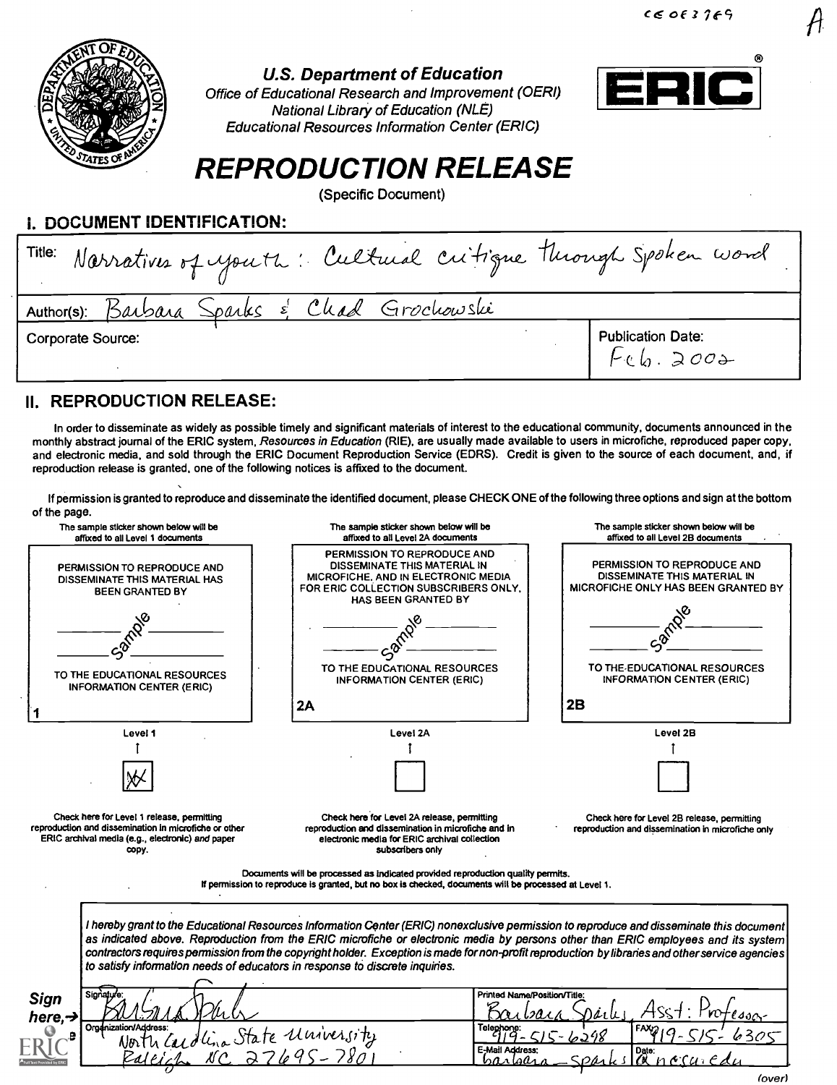

#### U.S. Department of Education

Office of Educational Research and Improvement (OERI) National Library of Education (NLE) Educational Resources Information Center (ERIC)



# REPRODUCTION RELEASE

(Specific Document)

i. DOCUMENT IDENTIFICATION:

| Title: Narratives of youth: Cultural critique through Spoken word |                                              |
|-------------------------------------------------------------------|----------------------------------------------|
| Author(s): Barbara Sparks & Chad Grochowski                       |                                              |
| Corporate Source:                                                 | Publication Date:<br>$\int \psi(x) dx \gg 0$ |

#### II. REPRODUCTION RELEASE:

In order to disseminate as widely as possible timely and significant materials of interest to the educational community, documents announced in the monthly abstract journal of the ERIC system, Resources in Education (RIE), are usually made available to users in microfiche, reproduced paper copy, and electronic media, and sold through the ERIC Document Reproduction Service (EDRS). Credit is given to the source of each document, and, if reproduction release is granted, one of the following notices is affixed to the document.

If permission is granted to reproduce and disseminate the identified document, please CHECK ONE of the following three options and sign at the bottom of the page.

| The sample sticker shown below will be<br>affixed to all Level 1 documents             |                                                                                                                                                                  | The sample sticker shown below will be<br>affixed to all Level 2A documents                                                                                                                                                                                                                                                                                                                                                                                                                                       | The sample sticker shown below will be<br>affixed to all Level 2B documents                        |
|----------------------------------------------------------------------------------------|------------------------------------------------------------------------------------------------------------------------------------------------------------------|-------------------------------------------------------------------------------------------------------------------------------------------------------------------------------------------------------------------------------------------------------------------------------------------------------------------------------------------------------------------------------------------------------------------------------------------------------------------------------------------------------------------|----------------------------------------------------------------------------------------------------|
| PERMISSION TO REPRODUCE AND<br>DISSEMINATE THIS MATERIAL HAS<br><b>BEEN GRANTED BY</b> |                                                                                                                                                                  | PERMISSION TO REPRODUCE AND<br><b>DISSEMINATE THIS MATERIAL IN</b><br>MICROFICHE, AND IN ELECTRONIC MEDIA<br>FOR ERIC COLLECTION SUBSCRIBERS ONLY.<br>HAS BEEN GRANTED BY                                                                                                                                                                                                                                                                                                                                         | PERMISSION TO REPRODUCE AND<br>DISSEMINATE THIS MATERIAL IN<br>MICROFICHE ONLY HAS BEEN GRANTED BY |
|                                                                                        | TO THE EDUCATIONAL RESOURCES<br><b>INFORMATION CENTER (ERIC)</b>                                                                                                 | TO THE EDUCATIONAL RESOURCES<br><b>INFORMATION CENTER (ERIC)</b>                                                                                                                                                                                                                                                                                                                                                                                                                                                  | TO THE EDUCATIONAL RESOURCES<br><b>INFORMATION CENTER (ERIC)</b>                                   |
|                                                                                        |                                                                                                                                                                  | 2A                                                                                                                                                                                                                                                                                                                                                                                                                                                                                                                | 2B                                                                                                 |
|                                                                                        | Level 1                                                                                                                                                          | Level 2A                                                                                                                                                                                                                                                                                                                                                                                                                                                                                                          | Level 2B                                                                                           |
|                                                                                        | Check here for Level 1 release, permitting<br>reproduction and dissemination in microfiche or other<br>ERIC archival media (e.g., electronic) and paper<br>copy. | Check here for Level 2A release, permitting<br>reproduction and dissemination in microfiche and in<br>electronic media for ERIC archival collection<br>subscribers only                                                                                                                                                                                                                                                                                                                                           | Check here for Level 2B release, permitting<br>reproduction and dissemination in microfiche only   |
|                                                                                        |                                                                                                                                                                  | Documents will be processed as indicated provided reproduction quality permits.<br>If permission to reproduce is granted, but no box is checked, documents will be processed at Level 1.                                                                                                                                                                                                                                                                                                                          |                                                                                                    |
|                                                                                        |                                                                                                                                                                  | I hereby grant to the Educational Resources Information Center (ERIC) nonexclusive permission to reproduce and disseminate this document<br>as indicated above. Reproduction from the ERIC microfiche or electronic media by persons other than ERIC employees and its system<br>contractors requires permission from the copyright holder. Exception is made for non-profit reproduction by libraries and other service agencies<br>to satisfy information needs of educators in response to discrete inquiries. |                                                                                                    |
| Sign<br>here, $\rightarrow$                                                            | Sionature                                                                                                                                                        |                                                                                                                                                                                                                                                                                                                                                                                                                                                                                                                   | Printed Name/Position/Title:<br>e son-                                                             |
| Organization/Address:<br>avonnagoress:<br>North Cardlina State University              |                                                                                                                                                                  | Telephone:<br>E-Mail Address:<br>hanlaan n                                                                                                                                                                                                                                                                                                                                                                                                                                                                        | Date:<br>nccuc                                                                                     |

(over)